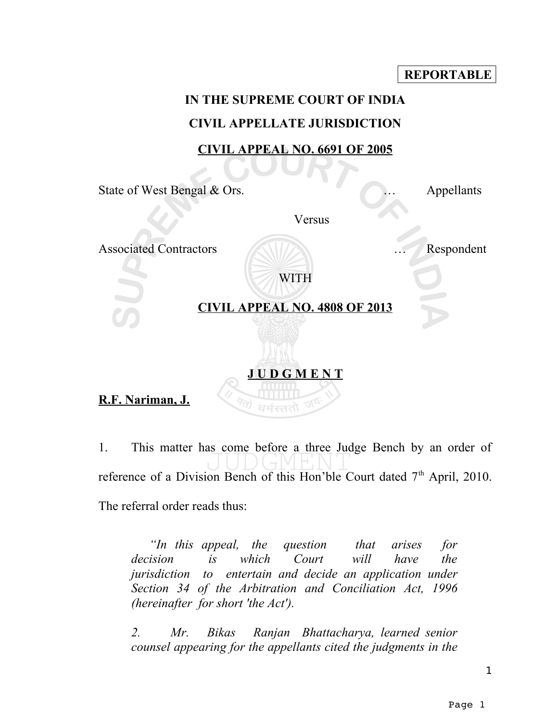#### **REPORTABLE**

### **IN THE SUPREME COURT OF INDIA CIVIL APPELLATE JURISDICTION CIVIL APPEAL NO. 6691 OF 2005**

State of West Bengal & Ors. <br>
Appellants

Versus

Associated Contractors **Executed Contractors** ... **Respondent** 

WITH

#### **CIVIL APPEAL NO. 4808 OF 2013**

**J U D G M E N T**

## **R.F. Nariman, J.**

1. This matter has come before a three Judge Bench by an order of reference of a Division Bench of this Hon'ble Court dated 7<sup>th</sup> April, 2010. The referral order reads thus:

*"In this appeal, the question that arises for decision is which Court will have the jurisdiction to entertain and decide an application under Section 34 of the Arbitration and Conciliation Act, 1996 (hereinafter for short 'the Act').*

*2. Mr. Bikas Ranjan Bhattacharya, learned senior counsel appearing for the appellants cited the judgments in the*

1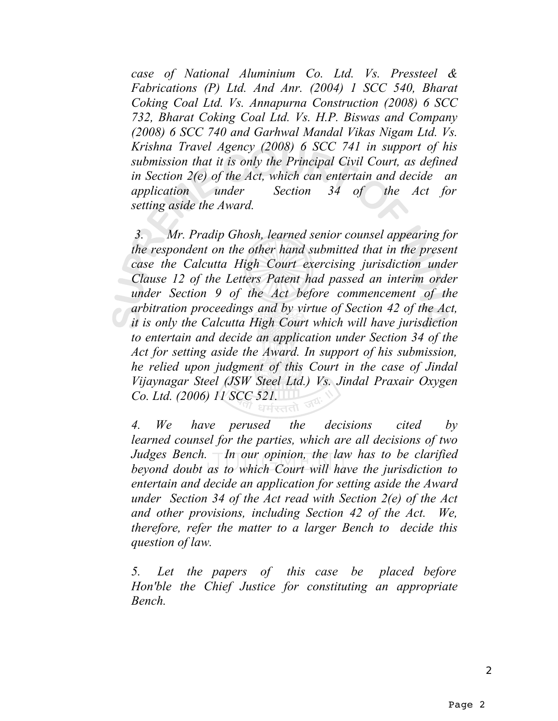*case of National Aluminium Co. Ltd. Vs. Pressteel & Fabrications (P) Ltd. And Anr. (2004) 1 SCC 540, Bharat Coking Coal Ltd. Vs. Annapurna Construction (2008) 6 SCC 732, Bharat Coking Coal Ltd. Vs. H.P. Biswas and Company (2008) 6 SCC 740 and Garhwal Mandal Vikas Nigam Ltd. Vs. Krishna Travel Agency (2008) 6 SCC 741 in support of his submission that it is only the Principal Civil Court, as defined in Section 2(e) of the Act, which can entertain and decide an application under Section 34 of the Act for setting aside the Award.*

 *3. Mr. Pradip Ghosh, learned senior counsel appearing for the respondent on the other hand submitted that in the present case the Calcutta High Court exercising jurisdiction under Clause 12 of the Letters Patent had passed an interim order under Section 9 of the Act before commencement of the arbitration proceedings and by virtue of Section 42 of the Act, it is only the Calcutta High Court which will have jurisdiction to entertain and decide an application under Section 34 of the Act for setting aside the Award. In support of his submission, he relied upon judgment of this Court in the case of Jindal Vijaynagar Steel (JSW Steel Ltd.) Vs. Jindal Praxair Oxygen Co. Ltd. (2006) 11 SCC 521.*

*4. We have perused the decisions cited by learned counsel for the parties, which are all decisions of two Judges Bench. In our opinion, the law has to be clarified beyond doubt as to which Court will have the jurisdiction to entertain and decide an application for setting aside the Award under Section 34 of the Act read with Section 2(e) of the Act and other provisions, including Section 42 of the Act. We, therefore, refer the matter to a larger Bench to decide this question of law.*

*5. Let the papers of this case be placed before Hon'ble the Chief Justice for constituting an appropriate Bench.*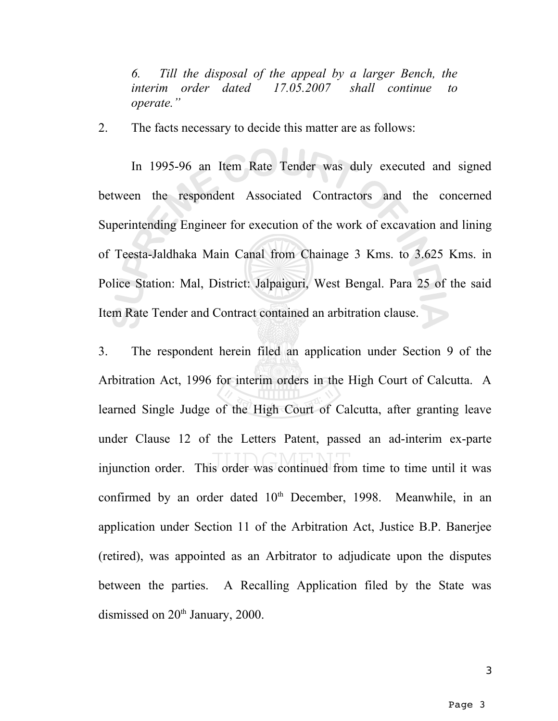*6. Till the disposal of the appeal by a larger Bench, the interim order dated 17.05.2007 shall continue to operate."*

2. The facts necessary to decide this matter are as follows:

In 1995-96 an Item Rate Tender was duly executed and signed between the respondent Associated Contractors and the concerned Superintending Engineer for execution of the work of excavation and lining of Teesta-Jaldhaka Main Canal from Chainage 3 Kms. to 3.625 Kms. in Police Station: Mal, District: Jalpaiguri, West Bengal. Para 25 of the said Item Rate Tender and Contract contained an arbitration clause.

3. The respondent herein filed an application under Section 9 of the Arbitration Act, 1996 for interim orders in the High Court of Calcutta. A learned Single Judge of the High Court of Calcutta, after granting leave under Clause 12 of the Letters Patent, passed an ad-interim ex-parte injunction order. This order was continued from time to time until it was confirmed by an order dated  $10<sup>th</sup>$  December, 1998. Meanwhile, in an application under Section 11 of the Arbitration Act, Justice B.P. Banerjee (retired), was appointed as an Arbitrator to adjudicate upon the disputes between the parties. A Recalling Application filed by the State was dismissed on 20<sup>th</sup> January, 2000.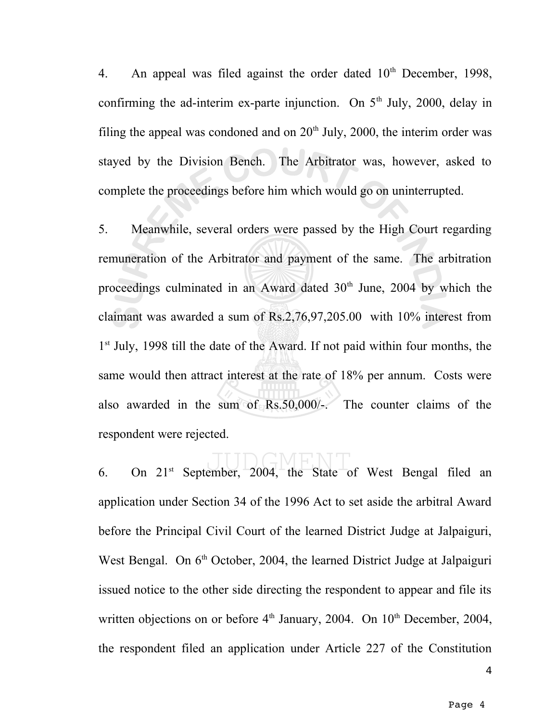4. An appeal was filed against the order dated  $10<sup>th</sup>$  December, 1998, confirming the ad-interim ex-parte injunction. On  $5<sup>th</sup>$  July, 2000, delay in filing the appeal was condoned and on  $20<sup>th</sup>$  July, 2000, the interim order was stayed by the Division Bench. The Arbitrator was, however, asked to complete the proceedings before him which would go on uninterrupted.

5. Meanwhile, several orders were passed by the High Court regarding remuneration of the Arbitrator and payment of the same. The arbitration proceedings culminated in an Award dated  $30<sup>th</sup>$  June, 2004 by which the claimant was awarded a sum of Rs.2,76,97,205.00 with 10% interest from 1<sup>st</sup> July, 1998 till the date of the Award. If not paid within four months, the same would then attract interest at the rate of 18% per annum. Costs were also awarded in the sum of Rs.50,000/-. The counter claims of the respondent were rejected.

6. On  $21^{st}$  September,  $2004$ , the State of West Bengal filed an application under Section 34 of the 1996 Act to set aside the arbitral Award before the Principal Civil Court of the learned District Judge at Jalpaiguri, West Bengal. On  $6<sup>th</sup>$  October, 2004, the learned District Judge at Jalpaiguri issued notice to the other side directing the respondent to appear and file its written objections on or before  $4<sup>th</sup>$  January, 2004. On  $10<sup>th</sup>$  December, 2004, the respondent filed an application under Article 227 of the Constitution

4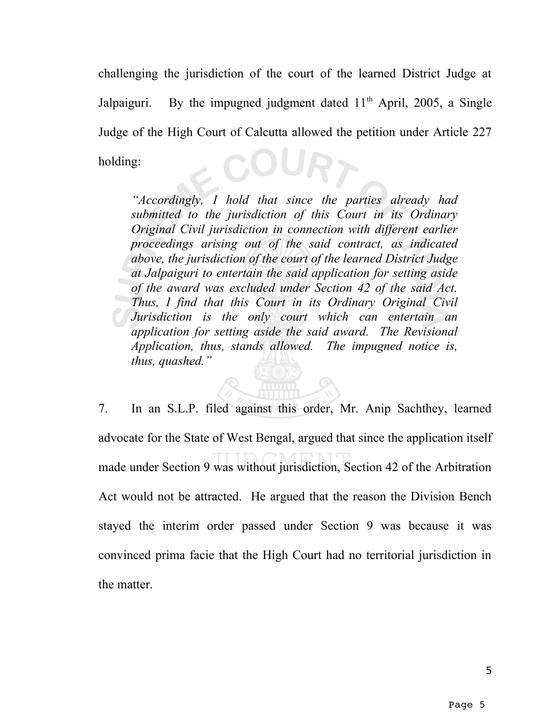challenging the jurisdiction of the court of the learned District Judge at Jalpaiguri. By the impugned judgment dated  $11<sup>th</sup>$  April, 2005, a Single Judge of the High Court of Calcutta allowed the petition under Article 227 COURT holding:

*"Accordingly, I hold that since the parties already had submitted to the jurisdiction of this Court in its Ordinary Original Civil jurisdiction in connection with different earlier proceedings arising out of the said contract, as indicated above, the jurisdiction of the court of the learned District Judge at Jalpaiguri to entertain the said application for setting aside of the award was excluded under Section 42 of the said Act. Thus, I find that this Court in its Ordinary Original Civil Jurisdiction is the only court which can entertain an application for setting aside the said award. The Revisional Application, thus, stands allowed. The impugned notice is, thus, quashed."* 

7. In an S.L.P. filed against this order, Mr. Anip Sachthey, learned advocate for the State of West Bengal, argued that since the application itself made under Section 9 was without jurisdiction, Section 42 of the Arbitration Act would not be attracted. He argued that the reason the Division Bench stayed the interim order passed under Section 9 was because it was convinced prima facie that the High Court had no territorial jurisdiction in the matter.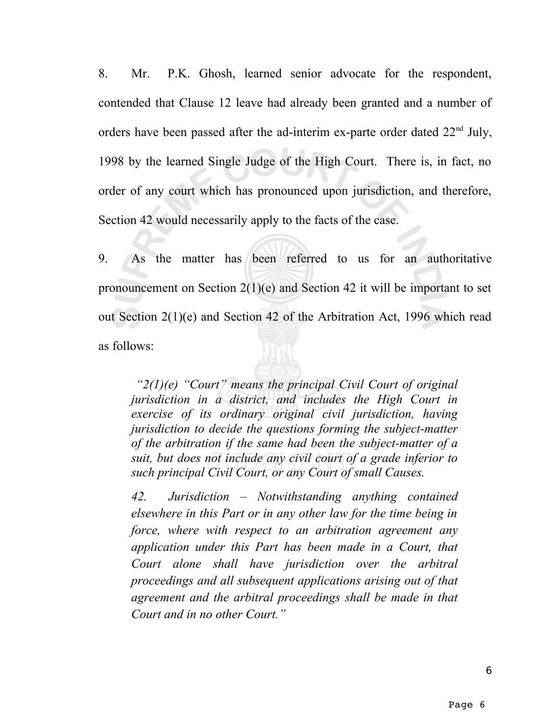8. Mr. P.K. Ghosh, learned senior advocate for the respondent, contended that Clause 12 leave had already been granted and a number of orders have been passed after the ad-interim ex-parte order dated  $22<sup>nd</sup>$  July, 1998 by the learned Single Judge of the High Court. There is, in fact, no order of any court which has pronounced upon jurisdiction, and therefore, Section 42 would necessarily apply to the facts of the case.

9. As the matter has been referred to us for an authoritative pronouncement on Section 2(1)(e) and Section 42 it will be important to set out Section 2(1)(e) and Section 42 of the Arbitration Act, 1996 which read as follows:

*"2(1)(e) "Court" means the principal Civil Court of original jurisdiction in a district, and includes the High Court in exercise of its ordinary original civil jurisdiction, having jurisdiction to decide the questions forming the subject-matter of the arbitration if the same had been the subject-matter of a suit, but does not include any civil court of a grade inferior to such principal Civil Court, or any Court of small Causes.*

*42. Jurisdiction – Notwithstanding anything contained elsewhere in this Part or in any other law for the time being in force, where with respect to an arbitration agreement any application under this Part has been made in a Court, that Court alone shall have jurisdiction over the arbitral proceedings and all subsequent applications arising out of that agreement and the arbitral proceedings shall be made in that Court and in no other Court."*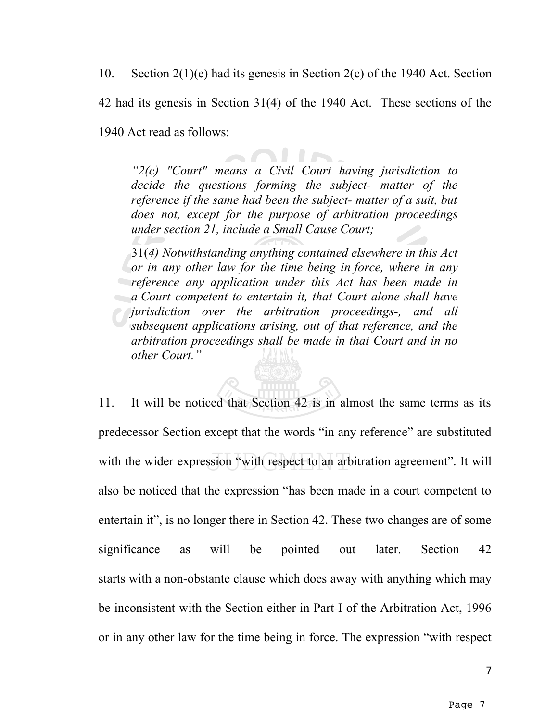10. Section 2(1)(e) had its genesis in Section 2(c) of the 1940 Act. Section

42 had its genesis in Section 31(4) of the 1940 Act. These sections of the

1940 Act read as follows:

*"2(c) "Court" means a Civil Court having jurisdiction to decide the questions forming the subject- matter of the reference if the same had been the subject- matter of a suit, but does not, except for the purpose of arbitration proceedings under section 21, include a Small Cause Court;*

31(*4) Notwithstanding anything contained elsewhere in this Act or in any other law for the time being in force, where in any reference any application under this Act has been made in a Court competent to entertain it, that Court alone shall have jurisdiction over the arbitration proceedings-, and all subsequent applications arising, out of that reference, and the arbitration proceedings shall be made in that Court and in no other Court."*

11. It will be noticed that Section 42 is in almost the same terms as its predecessor Section except that the words "in any reference" are substituted with the wider expression "with respect to an arbitration agreement". It will also be noticed that the expression "has been made in a court competent to entertain it", is no longer there in Section 42. These two changes are of some significance as will be pointed out later. Section 42 starts with a non-obstante clause which does away with anything which may be inconsistent with the Section either in Part-I of the Arbitration Act, 1996 or in any other law for the time being in force. The expression "with respect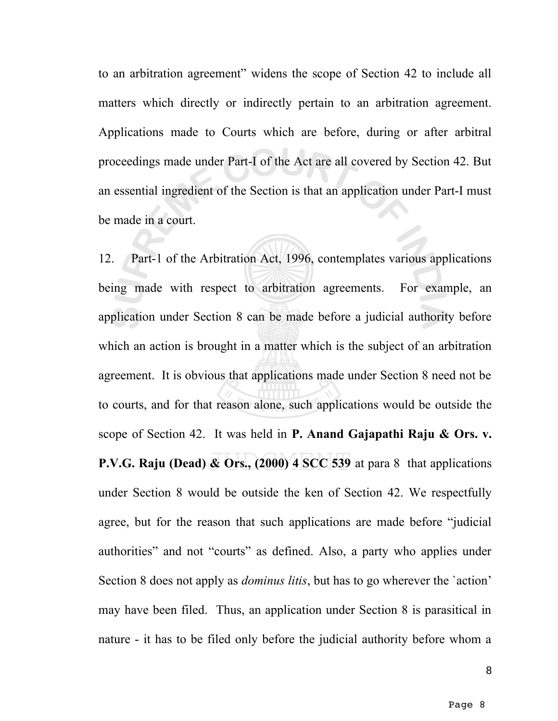to an arbitration agreement" widens the scope of Section 42 to include all matters which directly or indirectly pertain to an arbitration agreement. Applications made to Courts which are before, during or after arbitral proceedings made under Part-I of the Act are all covered by Section 42. But an essential ingredient of the Section is that an application under Part-I must be made in a court.

12. Part-1 of the Arbitration Act, 1996, contemplates various applications being made with respect to arbitration agreements. For example, an application under Section 8 can be made before a judicial authority before which an action is brought in a matter which is the subject of an arbitration agreement. It is obvious that applications made under Section 8 need not be to courts, and for that reason alone, such applications would be outside the scope of Section 42. It was held in **P. Anand Gajapathi Raju & Ors. v. P.V.G. Raju (Dead) & Ors., (2000) 4 SCC 539** at para 8 that applications under Section 8 would be outside the ken of Section 42. We respectfully agree, but for the reason that such applications are made before "judicial authorities" and not "courts" as defined. Also, a party who applies under Section 8 does not apply as *dominus litis*, but has to go wherever the `action' may have been filed. Thus, an application under Section 8 is parasitical in nature - it has to be filed only before the judicial authority before whom a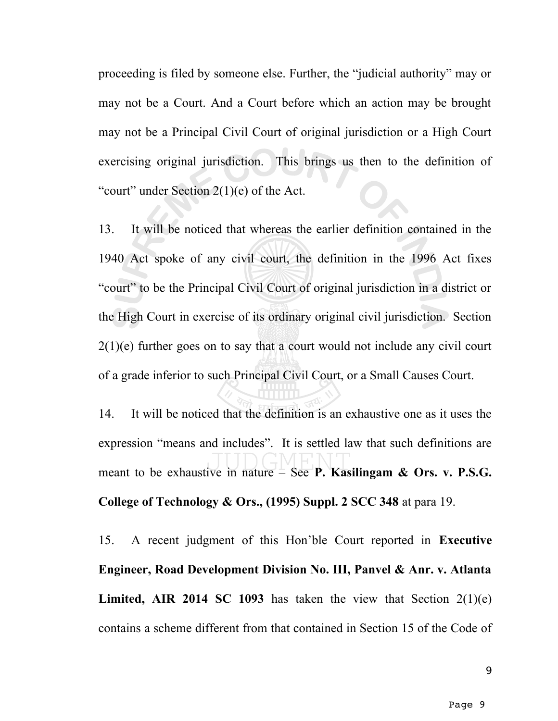proceeding is filed by someone else. Further, the "judicial authority" may or may not be a Court. And a Court before which an action may be brought may not be a Principal Civil Court of original jurisdiction or a High Court exercising original jurisdiction. This brings us then to the definition of "court" under Section 2(1)(e) of the Act.

13. It will be noticed that whereas the earlier definition contained in the 1940 Act spoke of any civil court, the definition in the 1996 Act fixes "court" to be the Principal Civil Court of original jurisdiction in a district or the High Court in exercise of its ordinary original civil jurisdiction. Section 2(1)(e) further goes on to say that a court would not include any civil court of a grade inferior to such Principal Civil Court, or a Small Causes Court.

14. It will be noticed that the definition is an exhaustive one as it uses the expression "means and includes". It is settled law that such definitions are meant to be exhaustive in nature – See **P. Kasilingam & Ors. v. P.S.G. College of Technology & Ors., (1995) Suppl. 2 SCC 348** at para 19.

15. A recent judgment of this Hon'ble Court reported in **Executive Engineer, Road Development Division No. III, Panvel & Anr. v. Atlanta Limited, AIR 2014 SC 1093** has taken the view that Section 2(1)(e) contains a scheme different from that contained in Section 15 of the Code of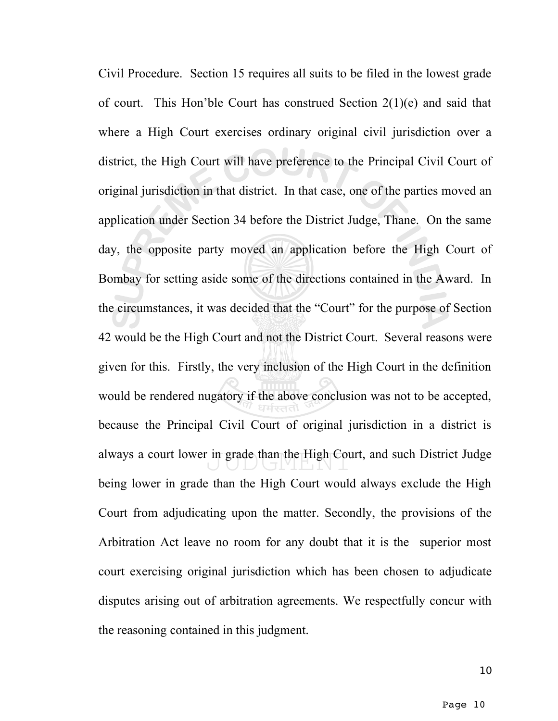Civil Procedure. Section 15 requires all suits to be filed in the lowest grade of court. This Hon'ble Court has construed Section 2(1)(e) and said that where a High Court exercises ordinary original civil jurisdiction over a district, the High Court will have preference to the Principal Civil Court of original jurisdiction in that district. In that case, one of the parties moved an application under Section 34 before the District Judge, Thane. On the same day, the opposite party moved an application before the High Court of Bombay for setting aside some of the directions contained in the Award. In the circumstances, it was decided that the "Court" for the purpose of Section 42 would be the High Court and not the District Court. Several reasons were given for this. Firstly, the very inclusion of the High Court in the definition would be rendered nugatory if the above conclusion was not to be accepted, because the Principal Civil Court of original jurisdiction in a district is always a court lower in grade than the High Court, and such District Judge being lower in grade than the High Court would always exclude the High Court from adjudicating upon the matter. Secondly, the provisions of the Arbitration Act leave no room for any doubt that it is the superior most court exercising original jurisdiction which has been chosen to adjudicate disputes arising out of arbitration agreements. We respectfully concur with the reasoning contained in this judgment.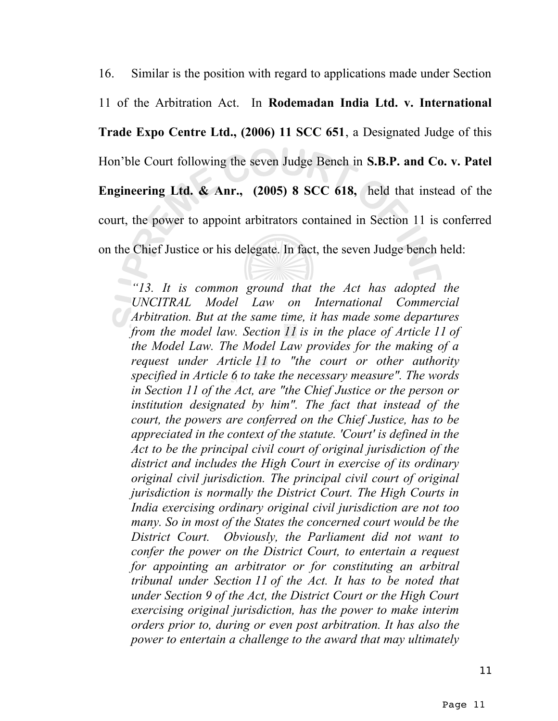16. Similar is the position with regard to applications made under Section 11 of the Arbitration Act. In **Rodemadan India Ltd. v. International Trade Expo Centre Ltd., (2006) 11 SCC 651**, a Designated Judge of this Hon'ble Court following the seven Judge Bench in **S.B.P. and Co. v. Patel Engineering Ltd. & Anr., (2005) 8 SCC 618,** held that instead of the court, the power to appoint arbitrators contained in Section 11 is conferred on the Chief Justice or his delegate. In fact, the seven Judge bench held:

*"13. It is common ground that the Act has adopted the UNCITRAL Model Law on International Commercial Arbitration. But at the same time, it has made some departures from the model law. Section 11 is in the place of Article 11 of the Model Law. The Model Law provides for the making of a request under Article 11 to "the court or other authority specified in Article 6 to take the necessary measure". The words in Section 11 of the Act, are "the Chief Justice or the person or institution designated by him". The fact that instead of the court, the powers are conferred on the Chief Justice, has to be appreciated in the context of the statute. 'Court' is defined in the Act to be the principal civil court of original jurisdiction of the district and includes the High Court in exercise of its ordinary original civil jurisdiction. The principal civil court of original jurisdiction is normally the District Court. The High Courts in India exercising ordinary original civil jurisdiction are not too many. So in most of the States the concerned court would be the District Court. Obviously, the Parliament did not want to confer the power on the District Court, to entertain a request for appointing an arbitrator or for constituting an arbitral tribunal under Section 11 of the Act. It has to be noted that under Section 9 of the Act, the District Court or the High Court exercising original jurisdiction, has the power to make interim orders prior to, during or even post arbitration. It has also the power to entertain a challenge to the award that may ultimately*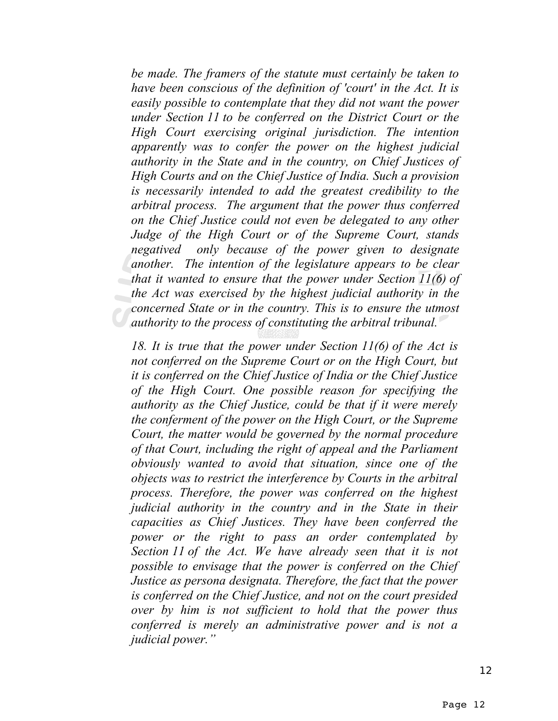*be made. The framers of the statute must certainly be taken to have been conscious of the definition of 'court' in the Act. It is easily possible to contemplate that they did not want the power under Section 11 to be conferred on the District Court or the High Court exercising original jurisdiction. The intention apparently was to confer the power on the highest judicial authority in the State and in the country, on Chief Justices of High Courts and on the Chief Justice of India. Such a provision is necessarily intended to add the greatest credibility to the arbitral process. The argument that the power thus conferred on the Chief Justice could not even be delegated to any other Judge of the High Court or of the Supreme Court, stands negatived only because of the power given to designate another. The intention of the legislature appears to be clear that it wanted to ensure that the power under Section 11(6) of the Act was exercised by the highest judicial authority in the concerned State or in the country. This is to ensure the utmost authority to the process of constituting the arbitral tribunal.*

*18. It is true that the power under Section 11(6) of the Act is not conferred on the Supreme Court or on the High Court, but it is conferred on the Chief Justice of India or the Chief Justice of the High Court. One possible reason for specifying the authority as the Chief Justice, could be that if it were merely the conferment of the power on the High Court, or the Supreme Court, the matter would be governed by the normal procedure of that Court, including the right of appeal and the Parliament obviously wanted to avoid that situation, since one of the objects was to restrict the interference by Courts in the arbitral process. Therefore, the power was conferred on the highest judicial authority in the country and in the State in their capacities as Chief Justices. They have been conferred the power or the right to pass an order contemplated by Section 11 of the Act. We have already seen that it is not possible to envisage that the power is conferred on the Chief Justice as persona designata. Therefore, the fact that the power is conferred on the Chief Justice, and not on the court presided over by him is not sufficient to hold that the power thus conferred is merely an administrative power and is not a judicial power."*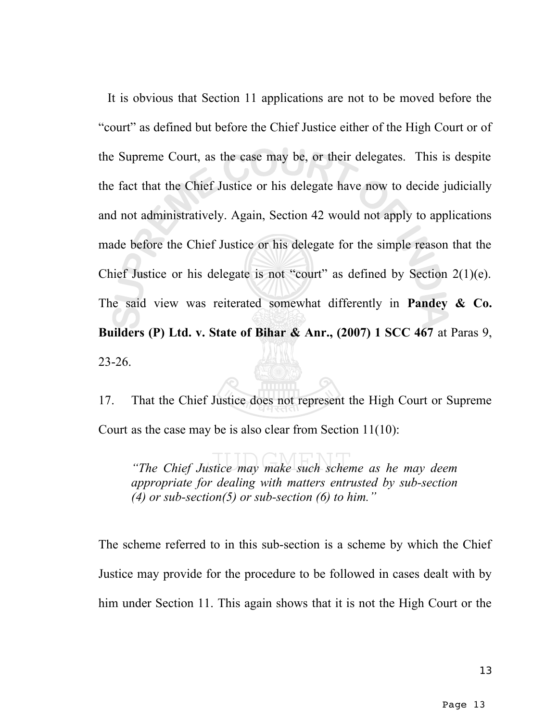It is obvious that Section 11 applications are not to be moved before the "court" as defined but before the Chief Justice either of the High Court or of the Supreme Court, as the case may be, or their delegates. This is despite the fact that the Chief Justice or his delegate have now to decide judicially and not administratively. Again, Section 42 would not apply to applications made before the Chief Justice or his delegate for the simple reason that the Chief Justice or his delegate is not "court" as defined by Section  $2(1)(e)$ . The said view was reiterated somewhat differently in **Pandey & Co. Builders (P) Ltd. v. State of Bihar & Anr., (2007) 1 SCC 467** at Paras 9, 23-26.

17. That the Chief Justice does not represent the High Court or Supreme Court as the case may be is also clear from Section 11(10):

*"The Chief Justice may make such scheme as he may deem appropriate for dealing with matters entrusted by sub-section (4) or sub-section(5) or sub-section (6) to him."*

The scheme referred to in this sub-section is a scheme by which the Chief Justice may provide for the procedure to be followed in cases dealt with by him under Section 11. This again shows that it is not the High Court or the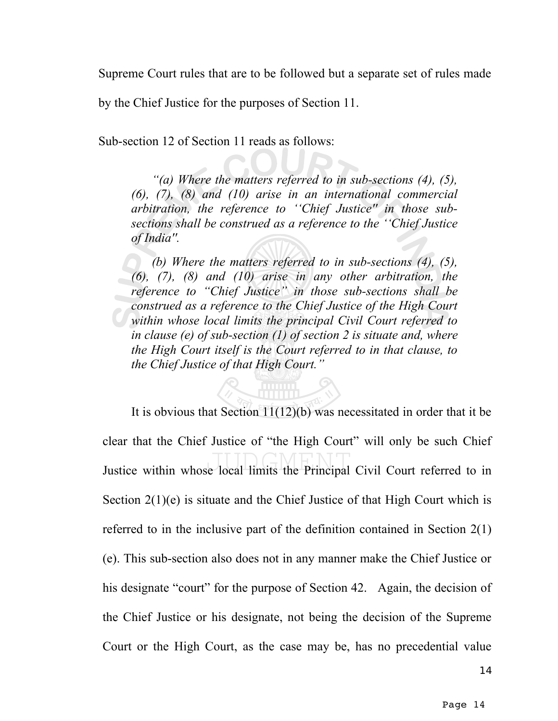Supreme Court rules that are to be followed but a separate set of rules made

by the Chief Justice for the purposes of Section 11.

Sub-section 12 of Section 11 reads as follows:

*"(a) Where the matters referred to in sub-sections (4), (5), (6), (7), (8) and (10) arise in an international commercial arbitration, the reference to ''Chief Justice'' in those subsections shall be construed as a reference to the ''Chief Justice of India''.*

*(b) Where the matters referred to in sub-sections (4), (5), (6), (7), (8) and (10) arise in any other arbitration, the reference to "Chief Justice" in those sub-sections shall be construed as a reference to the Chief Justice of the High Court within whose local limits the principal Civil Court referred to in clause (e) of sub-section (1) of section 2 is situate and, where the High Court itself is the Court referred to in that clause, to the Chief Justice of that High Court."*

It is obvious that Section  $11(12)(b)$  was necessitated in order that it be clear that the Chief Justice of "the High Court" will only be such Chief Justice within whose local limits the Principal Civil Court referred to in Section 2(1)(e) is situate and the Chief Justice of that High Court which is referred to in the inclusive part of the definition contained in Section 2(1) (e). This sub-section also does not in any manner make the Chief Justice or his designate "court" for the purpose of Section 42. Again, the decision of the Chief Justice or his designate, not being the decision of the Supreme Court or the High Court, as the case may be, has no precedential value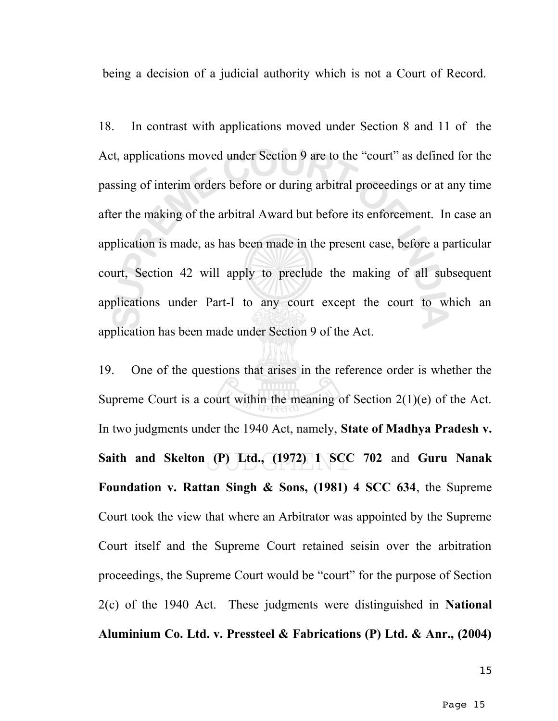being a decision of a judicial authority which is not a Court of Record.

18. In contrast with applications moved under Section 8 and 11 of the Act, applications moved under Section 9 are to the "court" as defined for the passing of interim orders before or during arbitral proceedings or at any time after the making of the arbitral Award but before its enforcement. In case an application is made, as has been made in the present case, before a particular court, Section 42 will apply to preclude the making of all subsequent applications under Part-I to any court except the court to which an application has been made under Section 9 of the Act.

19. One of the questions that arises in the reference order is whether the Supreme Court is a court within the meaning of Section 2(1)(e) of the Act. In two judgments under the 1940 Act, namely, **State of Madhya Pradesh v. Saith and Skelton (P) Ltd., (1972) 1 SCC 702** and **Guru Nanak Foundation v. Rattan Singh & Sons, (1981) 4 SCC 634**, the Supreme Court took the view that where an Arbitrator was appointed by the Supreme Court itself and the Supreme Court retained seisin over the arbitration proceedings, the Supreme Court would be "court" for the purpose of Section 2(c) of the 1940 Act. These judgments were distinguished in **National Aluminium Co. Ltd. v. Pressteel & Fabrications (P) Ltd. & Anr., (2004)**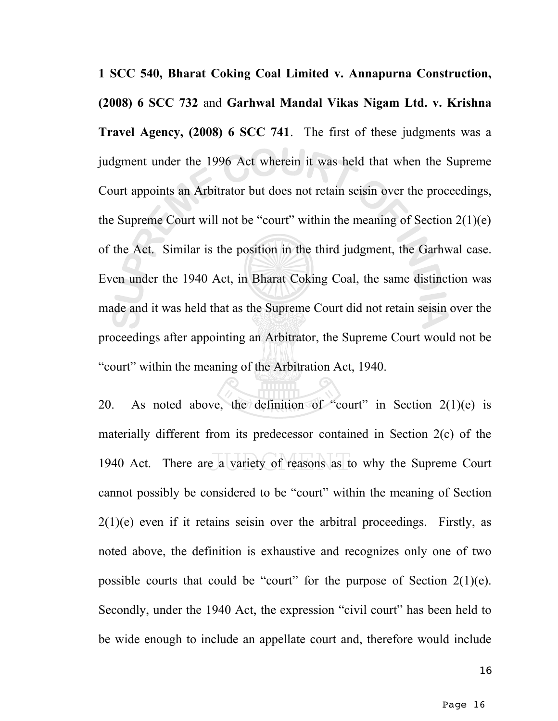**1 SCC 540, Bharat Coking Coal Limited v. Annapurna Construction, (2008) 6 SCC 732** and **Garhwal Mandal Vikas Nigam Ltd. v. Krishna Travel Agency, (2008) 6 SCC 741**. The first of these judgments was a judgment under the 1996 Act wherein it was held that when the Supreme Court appoints an Arbitrator but does not retain seisin over the proceedings, the Supreme Court will not be "court" within the meaning of Section 2(1)(e) of the Act. Similar is the position in the third judgment, the Garhwal case. Even under the 1940 Act, in Bharat Coking Coal, the same distinction was made and it was held that as the Supreme Court did not retain seisin over the proceedings after appointing an Arbitrator, the Supreme Court would not be "court" within the meaning of the Arbitration Act, 1940.

20. As noted above, the definition of "court" in Section  $2(1)(e)$  is materially different from its predecessor contained in Section 2(c) of the 1940 Act. There are a variety of reasons as to why the Supreme Court cannot possibly be considered to be "court" within the meaning of Section  $2(1)(e)$  even if it retains seisin over the arbitral proceedings. Firstly, as noted above, the definition is exhaustive and recognizes only one of two possible courts that could be "court" for the purpose of Section  $2(1)(e)$ . Secondly, under the 1940 Act, the expression "civil court" has been held to be wide enough to include an appellate court and, therefore would include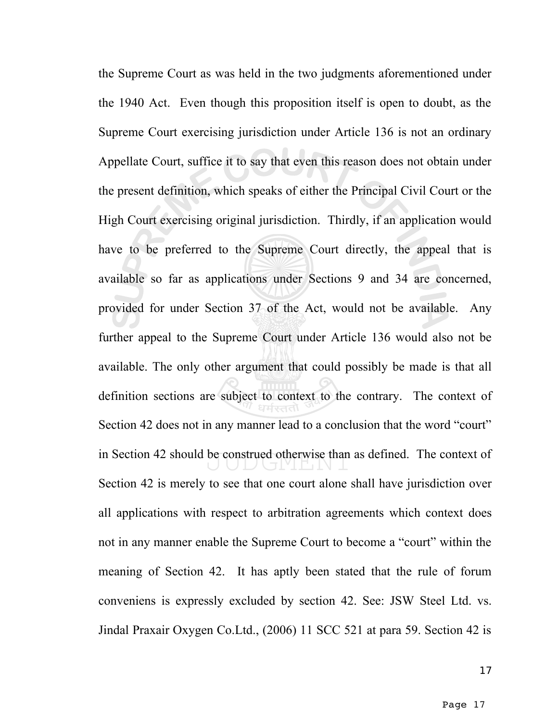the Supreme Court as was held in the two judgments aforementioned under the 1940 Act. Even though this proposition itself is open to doubt, as the Supreme Court exercising jurisdiction under Article 136 is not an ordinary Appellate Court, suffice it to say that even this reason does not obtain under the present definition, which speaks of either the Principal Civil Court or the High Court exercising original jurisdiction. Thirdly, if an application would have to be preferred to the Supreme Court directly, the appeal that is available so far as applications under Sections 9 and 34 are concerned, provided for under Section 37 of the Act, would not be available. Any further appeal to the Supreme Court under Article 136 would also not be available. The only other argument that could possibly be made is that all definition sections are subject to context to the contrary. The context of Section 42 does not in any manner lead to a conclusion that the word "court" in Section 42 should be construed otherwise than as defined. The context of Section 42 is merely to see that one court alone shall have jurisdiction over all applications with respect to arbitration agreements which context does not in any manner enable the Supreme Court to become a "court" within the meaning of Section 42. It has aptly been stated that the rule of forum conveniens is expressly excluded by section 42. See: JSW Steel Ltd. vs. Jindal Praxair Oxygen Co.Ltd., (2006) 11 SCC 521 at para 59. Section 42 is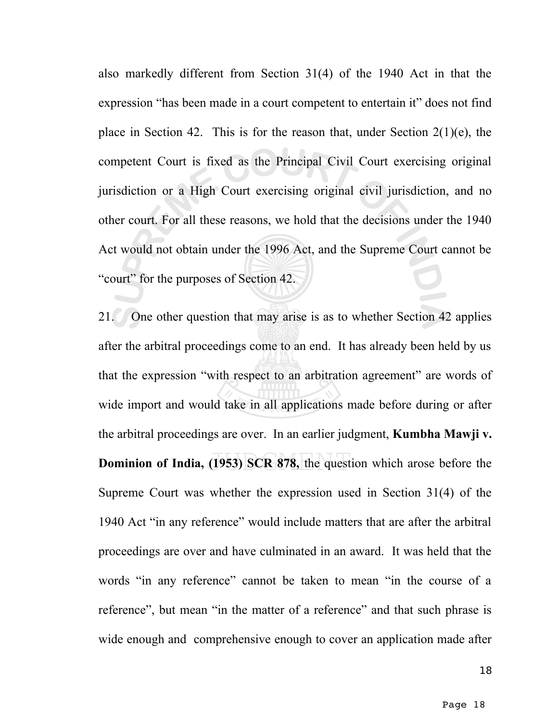also markedly different from Section 31(4) of the 1940 Act in that the expression "has been made in a court competent to entertain it" does not find place in Section 42. This is for the reason that, under Section  $2(1)(e)$ , the competent Court is fixed as the Principal Civil Court exercising original jurisdiction or a High Court exercising original civil jurisdiction, and no other court. For all these reasons, we hold that the decisions under the 1940 Act would not obtain under the 1996 Act, and the Supreme Court cannot be "court" for the purposes of Section 42.

21. One other question that may arise is as to whether Section 42 applies after the arbitral proceedings come to an end. It has already been held by us that the expression "with respect to an arbitration agreement" are words of wide import and would take in all applications made before during or after the arbitral proceedings are over. In an earlier judgment, **Kumbha Mawji v. Dominion of India, (1953) SCR 878,** the question which arose before the Supreme Court was whether the expression used in Section 31(4) of the 1940 Act "in any reference" would include matters that are after the arbitral proceedings are over and have culminated in an award. It was held that the words "in any reference" cannot be taken to mean "in the course of a reference", but mean "in the matter of a reference" and that such phrase is wide enough and comprehensive enough to cover an application made after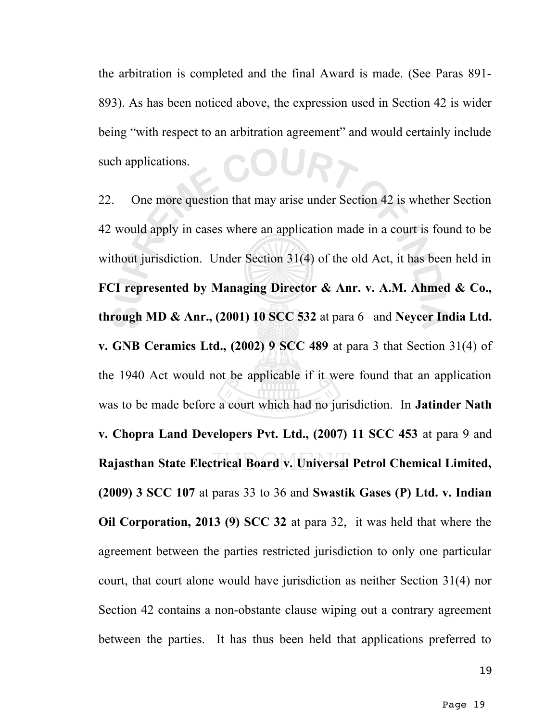the arbitration is completed and the final Award is made. (See Paras 891- 893). As has been noticed above, the expression used in Section 42 is wider being "with respect to an arbitration agreement" and would certainly include CURT such applications.

22. One more question that may arise under Section 42 is whether Section 42 would apply in cases where an application made in a court is found to be without jurisdiction. Under Section 31(4) of the old Act, it has been held in **FCI represented by Managing Director & Anr. v. A.M. Ahmed & Co., through MD & Anr., (2001) 10 SCC 532** at para 6 and **Neycer India Ltd. v. GNB Ceramics Ltd., (2002) 9 SCC 489** at para 3 that Section 31(4) of the 1940 Act would not be applicable if it were found that an application was to be made before a court which had no jurisdiction. In **Jatinder Nath v. Chopra Land Developers Pvt. Ltd., (2007) 11 SCC 453** at para 9 and **Rajasthan State Electrical Board v. Universal Petrol Chemical Limited, (2009) 3 SCC 107** at paras 33 to 36 and **Swastik Gases (P) Ltd. v. Indian Oil Corporation, 2013 (9) SCC 32** at para 32, it was held that where the agreement between the parties restricted jurisdiction to only one particular court, that court alone would have jurisdiction as neither Section 31(4) nor Section 42 contains a non-obstante clause wiping out a contrary agreement between the parties. It has thus been held that applications preferred to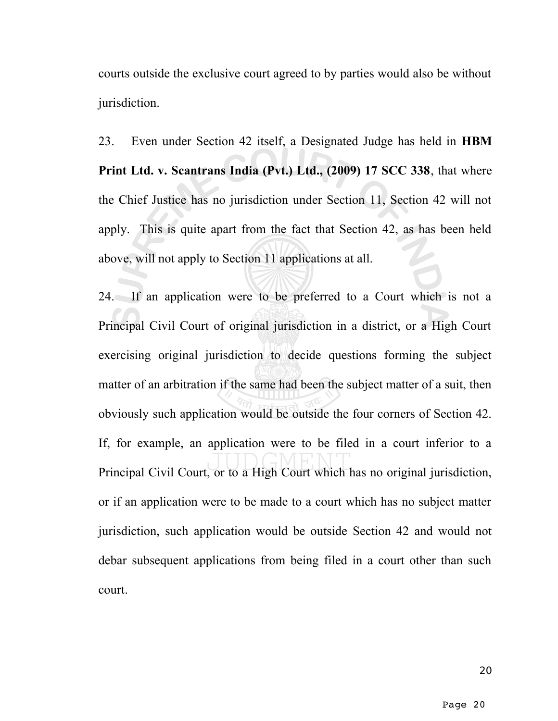courts outside the exclusive court agreed to by parties would also be without jurisdiction.

23. Even under Section 42 itself, a Designated Judge has held in **HBM Print Ltd. v. Scantrans India (Pvt.) Ltd., (2009) 17 SCC 338**, that where the Chief Justice has no jurisdiction under Section 11, Section 42 will not apply. This is quite apart from the fact that Section 42, as has been held above, will not apply to Section 11 applications at all.

24. If an application were to be preferred to a Court which is not a Principal Civil Court of original jurisdiction in a district, or a High Court exercising original jurisdiction to decide questions forming the subject matter of an arbitration if the same had been the subject matter of a suit, then obviously such application would be outside the four corners of Section 42. If, for example, an application were to be filed in a court inferior to a Principal Civil Court, or to a High Court which has no original jurisdiction, or if an application were to be made to a court which has no subject matter jurisdiction, such application would be outside Section 42 and would not debar subsequent applications from being filed in a court other than such court.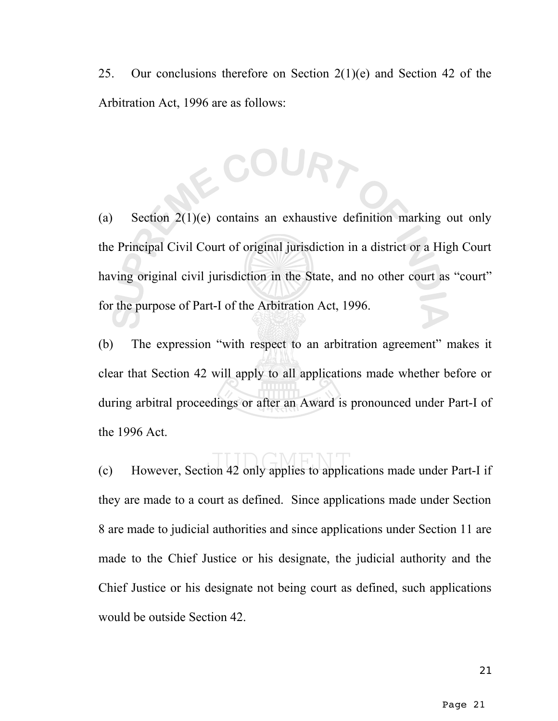25. Our conclusions therefore on Section  $2(1)(e)$  and Section 42 of the Arbitration Act, 1996 are as follows:

2 COURT

(a) Section 2(1)(e) contains an exhaustive definition marking out only the Principal Civil Court of original jurisdiction in a district or a High Court having original civil jurisdiction in the State, and no other court as "court" for the purpose of Part-I of the Arbitration Act, 1996.

(b) The expression "with respect to an arbitration agreement" makes it clear that Section 42 will apply to all applications made whether before or during arbitral proceedings or after an Award is pronounced under Part-I of the 1996 Act.

(c) However, Section 42 only applies to applications made under Part-I if they are made to a court as defined. Since applications made under Section 8 are made to judicial authorities and since applications under Section 11 are made to the Chief Justice or his designate, the judicial authority and the Chief Justice or his designate not being court as defined, such applications would be outside Section 42.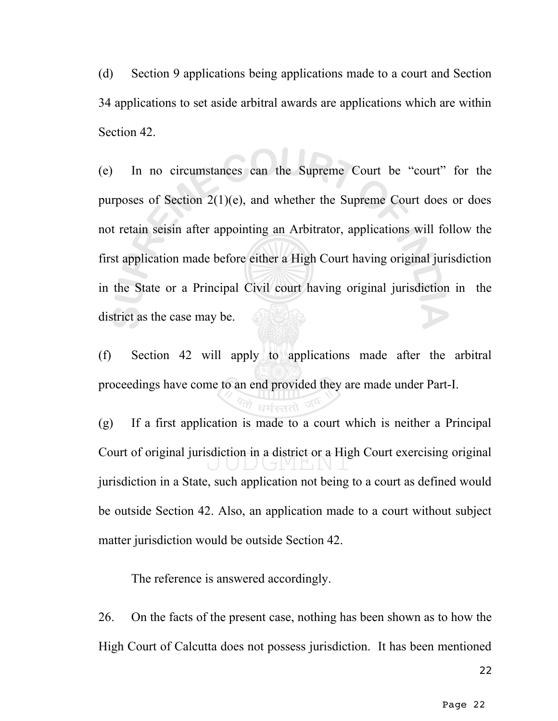(d) Section 9 applications being applications made to a court and Section 34 applications to set aside arbitral awards are applications which are within Section 42.

(e) In no circumstances can the Supreme Court be "court" for the purposes of Section 2(1)(e), and whether the Supreme Court does or does not retain seisin after appointing an Arbitrator, applications will follow the first application made before either a High Court having original jurisdiction in the State or a Principal Civil court having original jurisdiction in the district as the case may be.

(f) Section 42 will apply to applications made after the arbitral proceedings have come to an end provided they are made under Part-I.

(g) If a first application is made to a court which is neither a Principal Court of original jurisdiction in a district or a High Court exercising original jurisdiction in a State, such application not being to a court as defined would be outside Section 42. Also, an application made to a court without subject matter jurisdiction would be outside Section 42.

The reference is answered accordingly.

26. On the facts of the present case, nothing has been shown as to how the High Court of Calcutta does not possess jurisdiction. It has been mentioned

22